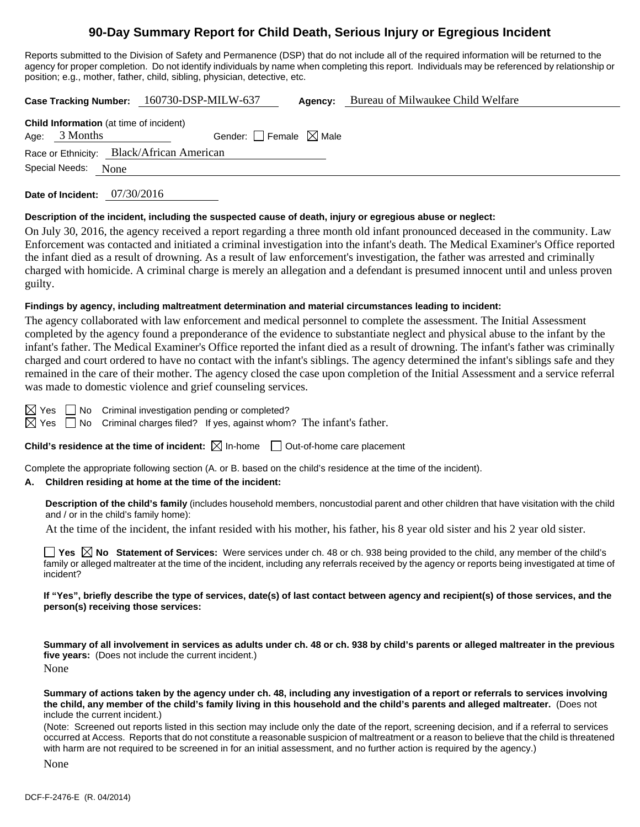# **90-Day Summary Report for Child Death, Serious Injury or Egregious Incident**

Reports submitted to the Division of Safety and Permanence (DSP) that do not include all of the required information will be returned to the agency for proper completion. Do not identify individuals by name when completing this report. Individuals may be referenced by relationship or position; e.g., mother, father, child, sibling, physician, detective, etc.

**Case Tracking Number:** 160730-DSP-MILW-637 **Agency:** Bureau of Milwaukee Child Welfare

| <b>Child Information</b> (at time of incident) |                                           |  |
|------------------------------------------------|-------------------------------------------|--|
| Age: $3$ Months                                | Gender: $\Box$ Female $\boxtimes$ Male    |  |
|                                                | Race or Ethnicity: Black/African American |  |
| Special Needs: None                            |                                           |  |
|                                                |                                           |  |

**Date of Incident:** 07/30/2016

#### **Description of the incident, including the suspected cause of death, injury or egregious abuse or neglect:**

On July 30, 2016, the agency received a report regarding a three month old infant pronounced deceased in the community. Law Enforcement was contacted and initiated a criminal investigation into the infant's death. The Medical Examiner's Office reported the infant died as a result of drowning. As a result of law enforcement's investigation, the father was arrested and criminally charged with homicide. A criminal charge is merely an allegation and a defendant is presumed innocent until and unless proven guilty.

#### **Findings by agency, including maltreatment determination and material circumstances leading to incident:**

The agency collaborated with law enforcement and medical personnel to complete the assessment. The Initial Assessment completed by the agency found a preponderance of the evidence to substantiate neglect and physical abuse to the infant by the infant's father. The Medical Examiner's Office reported the infant died as a result of drowning. The infant's father was criminally charged and court ordered to have no contact with the infant's siblings. The agency determined the infant's siblings safe and they remained in the care of their mother. The agency closed the case upon completion of the Initial Assessment and a service referral was made to domestic violence and grief counseling services.

 $\boxtimes$  Yes  $\Box$  No Criminal investigation pending or completed?

 $\boxtimes$  Yes  $\Box$  No Criminal charges filed? If yes, against whom? The infant's father.

#### **Child's residence at the time of incident:**  $\boxtimes$  In-home  $\Box$  Out-of-home care placement

Complete the appropriate following section (A. or B. based on the child's residence at the time of the incident).

#### **A. Children residing at home at the time of the incident:**

**Description of the child's family** (includes household members, noncustodial parent and other children that have visitation with the child and / or in the child's family home):

At the time of the incident, the infant resided with his mother, his father, his 8 year old sister and his 2 year old sister.

**Yes**  $\boxtimes$  **No** Statement of Services: Were services under ch. 48 or ch. 938 being provided to the child, any member of the child's family or alleged maltreater at the time of the incident, including any referrals received by the agency or reports being investigated at time of incident?

**If "Yes", briefly describe the type of services, date(s) of last contact between agency and recipient(s) of those services, and the person(s) receiving those services:** 

**Summary of all involvement in services as adults under ch. 48 or ch. 938 by child's parents or alleged maltreater in the previous five years:** (Does not include the current incident.) None

**Summary of actions taken by the agency under ch. 48, including any investigation of a report or referrals to services involving the child, any member of the child's family living in this household and the child's parents and alleged maltreater.** (Does not include the current incident.)

(Note: Screened out reports listed in this section may include only the date of the report, screening decision, and if a referral to services occurred at Access. Reports that do not constitute a reasonable suspicion of maltreatment or a reason to believe that the child is threatened with harm are not required to be screened in for an initial assessment, and no further action is required by the agency.)

None